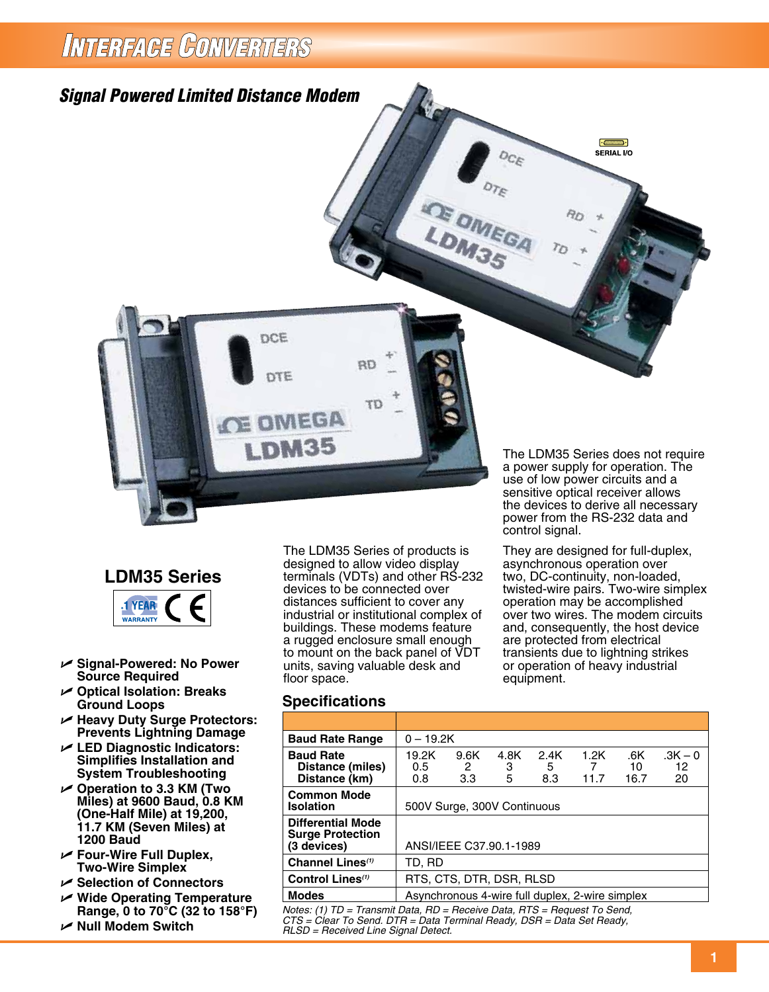## INTERFAGE CONVERTERS





- U **Signal-Powered: No Power Source Required**
- U **Optical Isolation: Breaks Ground Loops**
- U **Heavy Duty Surge Protectors: Prevents Lightning Damage**
- U **LED Diagnostic Indicators: Simplifies Installation and System Troubleshooting**
- U **Operation to 3.3 KM (Two Miles) at 9600 Baud, 0.8 KM (One-Half Mile) at 19,200, 11.7 KM (Seven Miles) at 1200 Baud**
- U **Four-Wire Full Duplex, Two-Wire Simplex**
- U **Selection of Connectors**
- U **Wide Operating Temperature Range, 0 to 70°C (32 to 158°F)**
- U **Null Modem Switch**

The LDM35 Series of products is designed to allow video display terminals (VDTs) and other RS-232 devices to be connected over distances sufficient to cover any industrial or institutional complex of buildings. These modems feature a rugged enclosure small enough to mount on the back panel of VDT units, saving valuable desk and floor space.

They are designed for full-duplex, asynchronous operation over two, DC-continuity, non-loaded, twisted-wire pairs. Two-wire simplex operation may be accomplished over two wires. The modem circuits and, consequently, the host device are protected from electrical transients due to lightning strikes or operation of heavy industrial equipment.

### **Specifications**

| <b>Baud Rate Range</b>                                                                | $0 - 19.2K$                                     |                         |                |                  |                   |                   |                       |
|---------------------------------------------------------------------------------------|-------------------------------------------------|-------------------------|----------------|------------------|-------------------|-------------------|-----------------------|
| <b>Baud Rate</b><br>Distance (miles)<br>Distance (km)                                 | 19.2K<br>0.5<br>0.8                             | 9.6K<br>2<br>3.3        | 4.8K<br>3<br>5 | 2.4K<br>5<br>8.3 | 1.2K<br>7<br>11.7 | .6K<br>10<br>16.7 | $.3K - 0$<br>12<br>20 |
| <b>Common Mode</b><br><b>Isolation</b>                                                | 500V Surge, 300V Continuous                     |                         |                |                  |                   |                   |                       |
| <b>Differential Mode</b><br><b>Surge Protection</b><br>(3 devices)                    |                                                 | ANSI/IEEE C37.90.1-1989 |                |                  |                   |                   |                       |
| Channel Lines <sup>(1)</sup>                                                          | TD, RD                                          |                         |                |                  |                   |                   |                       |
| Control Lines <sup>(1)</sup>                                                          | RTS, CTS, DTR, DSR, RLSD                        |                         |                |                  |                   |                   |                       |
| <b>Modes</b>                                                                          | Asynchronous 4-wire full duplex, 2-wire simplex |                         |                |                  |                   |                   |                       |
| $Notor (1)$ $TD = Tronomit$ $Dot$ $BD = Dencoine$ $Date$ $DTC = Dencuost$ $To$ $Cond$ |                                                 |                         |                |                  |                   |                   |                       |

*Notes: (1) TD = Transmit Data, RD = Receive Data, RTS = Request To Send, CTS = Clear To Send. DTR = Data Terminal Ready, DSR = Data Set Ready, RLSD = Received Line Signal Detect.*